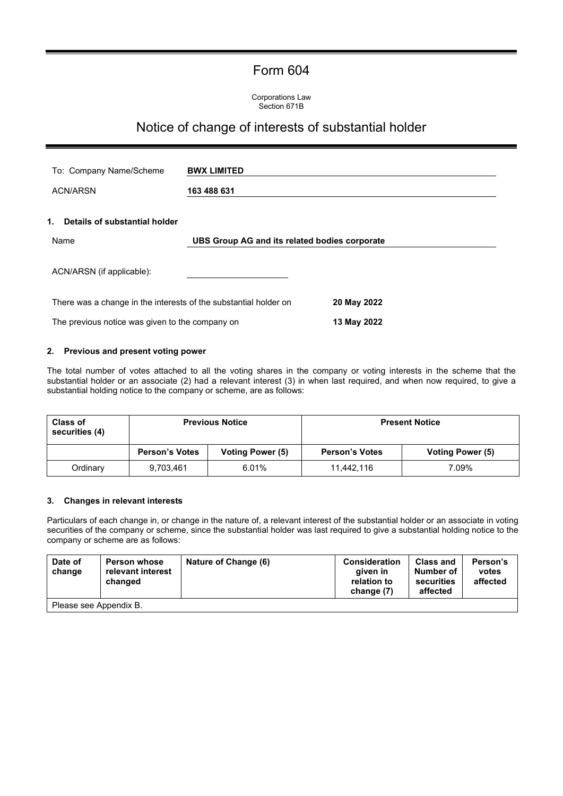## Form 604

Corporations Law Section 671B

# Notice of change of interests of substantial holder

| To: Company Name/Scheme                                                         | <b>BWX LIMITED</b>                            |             |  |  |
|---------------------------------------------------------------------------------|-----------------------------------------------|-------------|--|--|
| <b>ACN/ARSN</b>                                                                 | 163 488 631                                   |             |  |  |
| 1.<br>Details of substantial holder                                             |                                               |             |  |  |
| Name                                                                            | UBS Group AG and its related bodies corporate |             |  |  |
| ACN/ARSN (if applicable):                                                       |                                               |             |  |  |
| 20 May 2022<br>There was a change in the interests of the substantial holder on |                                               |             |  |  |
| The previous notice was given to the company on                                 |                                               | 13 May 2022 |  |  |

#### **2. Previous and present voting power**

The total number of votes attached to all the voting shares in the company or voting interests in the scheme that the substantial holder or an associate (2) had a relevant interest (3) in when last required, and when now required, to give a substantial holding notice to the company or scheme, are as follows:

| <b>Class of</b><br>securities (4) | <b>Previous Notice</b> |                         | <b>Present Notice</b> |                  |
|-----------------------------------|------------------------|-------------------------|-----------------------|------------------|
|                                   | <b>Person's Votes</b>  | <b>Voting Power (5)</b> | <b>Person's Votes</b> | Voting Power (5) |
| Ordinary                          | 9,703,461              | 6.01%                   | 11.442.116            | 7.09%            |

#### **3. Changes in relevant interests**

Particulars of each change in, or change in the nature of, a relevant interest of the substantial holder or an associate in voting securities of the company or scheme, since the substantial holder was last required to give a substantial holding notice to the company or scheme are as follows:

| Date of<br>change      | <b>Person whose</b><br>relevant interest<br>changed | Nature of Change (6) | <b>Consideration</b><br>aiven in<br>relation to<br>change (7) | <b>Class and</b><br>Number of<br>securities<br>affected | Person's<br>votes<br>affected |
|------------------------|-----------------------------------------------------|----------------------|---------------------------------------------------------------|---------------------------------------------------------|-------------------------------|
| Please see Appendix B. |                                                     |                      |                                                               |                                                         |                               |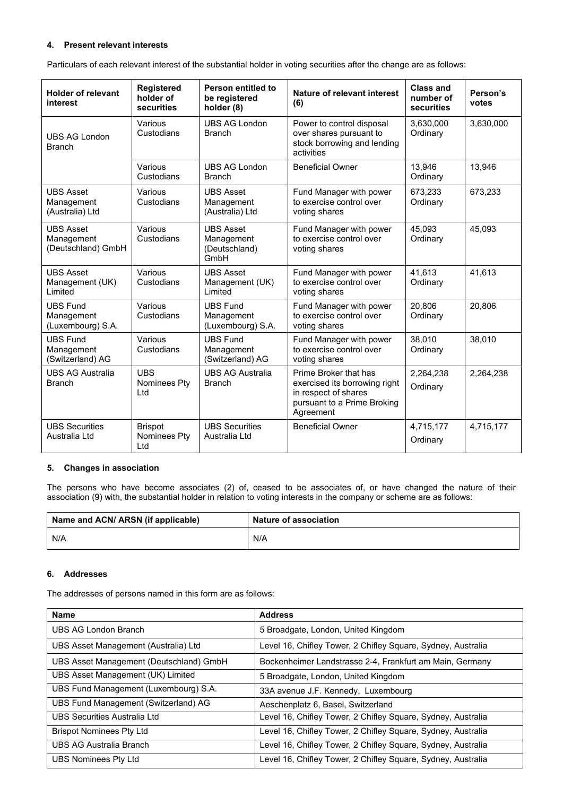#### **4. Present relevant interests**

Particulars of each relevant interest of the substantial holder in voting securities after the change are as follows:

| <b>Holder of relevant</b><br>interest                | <b>Registered</b><br>holder of<br>securities | Person entitled to<br>be registered<br>holder (8)       | Nature of relevant interest<br>(6)                                                                                         | <b>Class and</b><br>number of<br>securities | Person's<br>votes |
|------------------------------------------------------|----------------------------------------------|---------------------------------------------------------|----------------------------------------------------------------------------------------------------------------------------|---------------------------------------------|-------------------|
| <b>UBS AG London</b><br><b>Branch</b>                | Various<br>Custodians                        | <b>UBS AG London</b><br><b>Branch</b>                   | Power to control disposal<br>over shares pursuant to<br>stock borrowing and lending<br>activities                          | 3,630,000<br>Ordinary                       | 3,630,000         |
|                                                      | Various<br>Custodians                        | <b>UBS AG London</b><br><b>Branch</b>                   | <b>Beneficial Owner</b>                                                                                                    | 13,946<br>Ordinary                          | 13,946            |
| <b>UBS Asset</b><br>Management<br>(Australia) Ltd    | Various<br>Custodians                        | <b>UBS Asset</b><br>Management<br>(Australia) Ltd       | Fund Manager with power<br>to exercise control over<br>voting shares                                                       | 673,233<br>Ordinary                         | 673,233           |
| <b>UBS Asset</b><br>Management<br>(Deutschland) GmbH | Various<br>Custodians                        | <b>UBS Asset</b><br>Management<br>(Deutschland)<br>GmbH | Fund Manager with power<br>to exercise control over<br>voting shares                                                       | 45,093<br>Ordinary                          | 45,093            |
| <b>UBS Asset</b><br>Management (UK)<br>Limited       | Various<br>Custodians                        | <b>UBS Asset</b><br>Management (UK)<br>Limited          | Fund Manager with power<br>to exercise control over<br>voting shares                                                       | 41,613<br>Ordinary                          | 41,613            |
| <b>UBS Fund</b><br>Management<br>(Luxembourg) S.A.   | Various<br>Custodians                        | <b>UBS Fund</b><br>Management<br>(Luxembourg) S.A.      | Fund Manager with power<br>to exercise control over<br>voting shares                                                       | 20,806<br>Ordinary                          | 20,806            |
| <b>UBS Fund</b><br>Management<br>(Switzerland) AG    | Various<br>Custodians                        | <b>UBS Fund</b><br>Management<br>(Switzerland) AG       | Fund Manager with power<br>to exercise control over<br>voting shares                                                       | 38,010<br>Ordinary                          | 38,010            |
| <b>UBS AG Australia</b><br><b>Branch</b>             | <b>UBS</b><br>Nominees Pty<br>Ltd            | <b>UBS AG Australia</b><br><b>Branch</b>                | Prime Broker that has<br>exercised its borrowing right<br>in respect of shares<br>pursuant to a Prime Broking<br>Agreement | 2,264,238<br>Ordinary                       | 2,264,238         |
| <b>UBS Securities</b><br>Australia Ltd               | <b>Brispot</b><br>Nominees Pty<br>Ltd        | <b>UBS Securities</b><br>Australia Ltd                  | <b>Beneficial Owner</b>                                                                                                    | 4,715,177<br>Ordinary                       | 4,715,177         |

#### **5. Changes in association**

The persons who have become associates (2) of, ceased to be associates of, or have changed the nature of their association (9) with, the substantial holder in relation to voting interests in the company or scheme are as follows:

| Name and ACN/ ARSN (if applicable) | Nature of association |
|------------------------------------|-----------------------|
| N/A                                | N/A                   |

#### **6. Addresses**

The addresses of persons named in this form are as follows:

| <b>Name</b>                             | <b>Address</b>                                               |
|-----------------------------------------|--------------------------------------------------------------|
| UBS AG London Branch                    | 5 Broadgate, London, United Kingdom                          |
| UBS Asset Management (Australia) Ltd    | Level 16, Chifley Tower, 2 Chifley Square, Sydney, Australia |
| UBS Asset Management (Deutschland) GmbH | Bockenheimer Landstrasse 2-4, Frankfurt am Main, Germany     |
| UBS Asset Management (UK) Limited       | 5 Broadgate, London, United Kingdom                          |
| UBS Fund Management (Luxembourg) S.A.   | 33A avenue J.F. Kennedy, Luxembourg                          |
| UBS Fund Management (Switzerland) AG    | Aeschenplatz 6, Basel, Switzerland                           |
| <b>UBS Securities Australia Ltd</b>     | Level 16, Chifley Tower, 2 Chifley Square, Sydney, Australia |
| <b>Brispot Nominees Pty Ltd</b>         | Level 16, Chifley Tower, 2 Chifley Square, Sydney, Australia |
| <b>UBS AG Australia Branch</b>          | Level 16, Chifley Tower, 2 Chifley Square, Sydney, Australia |
| UBS Nominees Pty Ltd                    | Level 16, Chifley Tower, 2 Chifley Square, Sydney, Australia |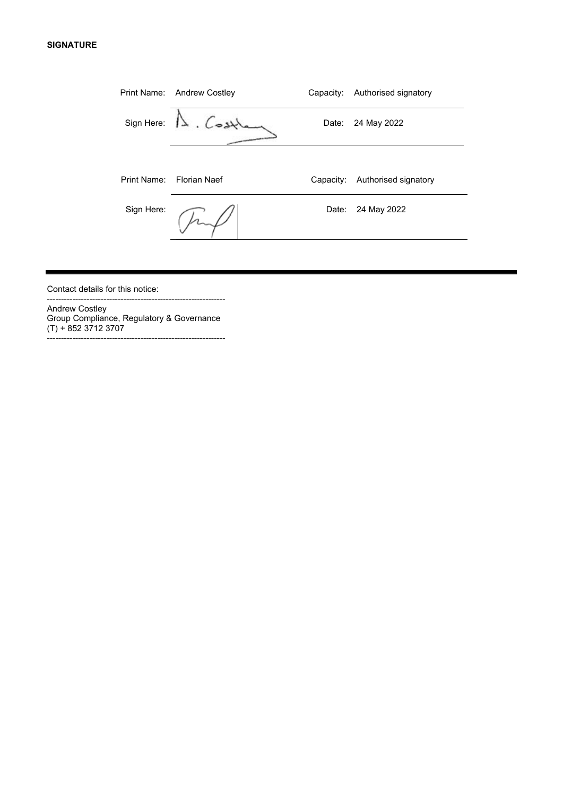#### **SIGNATURE**

| Print Name: | <b>Andrew Costley</b> | Capacity: | Authorised signatory |
|-------------|-----------------------|-----------|----------------------|
| Sign Here:  | $\Lambda$ . Cost      | Date:     | 24 May 2022          |
|             |                       |           |                      |
| Print Name: | <b>Florian Naef</b>   | Capacity: | Authorised signatory |
| Sign Here:  |                       | Date:     | 24 May 2022          |
|             |                       |           |                      |

 $\overline{\phantom{0}}$ 

Contact details for this notice:

Andrew Costley Group Compliance, Regulatory & Governance (T) + 852 3712 3707 ---------------------------------------------------------------

---------------------------------------------------------------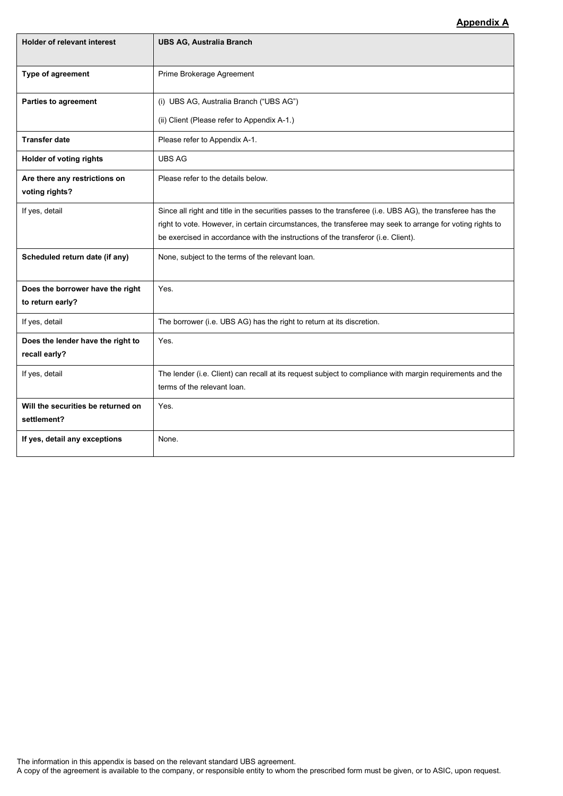### **Appendix A**

| <b>Holder of relevant interest</b>                   | <b>UBS AG, Australia Branch</b>                                                                                                          |
|------------------------------------------------------|------------------------------------------------------------------------------------------------------------------------------------------|
|                                                      |                                                                                                                                          |
| Type of agreement                                    | Prime Brokerage Agreement                                                                                                                |
| <b>Parties to agreement</b>                          | (i) UBS AG, Australia Branch ("UBS AG")                                                                                                  |
|                                                      | (ii) Client (Please refer to Appendix A-1.)                                                                                              |
| <b>Transfer date</b>                                 | Please refer to Appendix A-1.                                                                                                            |
| Holder of voting rights                              | <b>UBS AG</b>                                                                                                                            |
| Are there any restrictions on<br>voting rights?      | Please refer to the details below.                                                                                                       |
| If yes, detail                                       | Since all right and title in the securities passes to the transferee (i.e. UBS AG), the transferee has the                               |
|                                                      | right to vote. However, in certain circumstances, the transferee may seek to arrange for voting rights to                                |
|                                                      | be exercised in accordance with the instructions of the transferor (i.e. Client).                                                        |
| Scheduled return date (if any)                       | None, subject to the terms of the relevant loan.                                                                                         |
| Does the borrower have the right<br>to return early? | Yes.                                                                                                                                     |
| If yes, detail                                       | The borrower (i.e. UBS AG) has the right to return at its discretion.                                                                    |
| Does the lender have the right to<br>recall early?   | Yes.                                                                                                                                     |
| If yes, detail                                       | The lender (i.e. Client) can recall at its request subject to compliance with margin requirements and the<br>terms of the relevant loan. |
| Will the securities be returned on<br>settlement?    | Yes.                                                                                                                                     |
| If yes, detail any exceptions                        | None.                                                                                                                                    |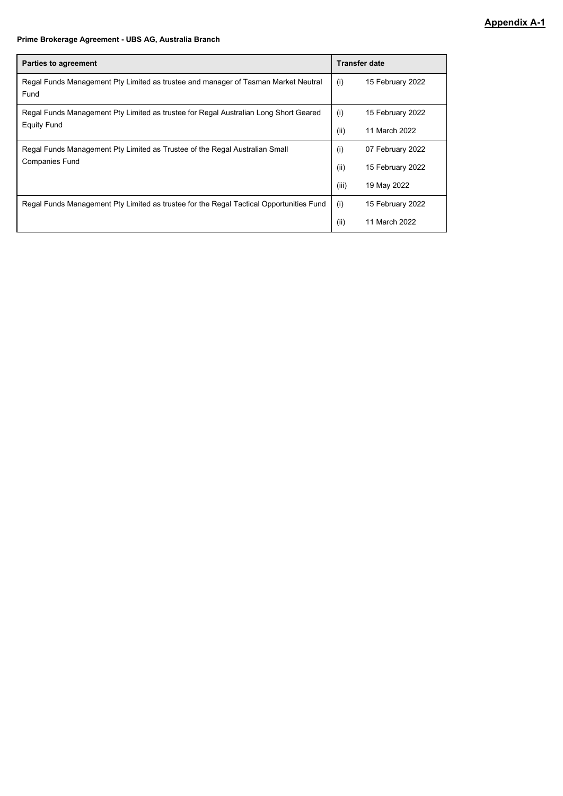#### **Prime Brokerage Agreement - UBS AG, Australia Branch**

| <b>Parties to agreement</b>                                                                |       | <b>Transfer date</b> |  |  |
|--------------------------------------------------------------------------------------------|-------|----------------------|--|--|
| Regal Funds Management Pty Limited as trustee and manager of Tasman Market Neutral<br>Fund | (i)   | 15 February 2022     |  |  |
| Regal Funds Management Pty Limited as trustee for Regal Australian Long Short Geared       | (i)   | 15 February 2022     |  |  |
| <b>Equity Fund</b>                                                                         | (ii)  | 11 March 2022        |  |  |
| Regal Funds Management Pty Limited as Trustee of the Regal Australian Small                | (i)   | 07 February 2022     |  |  |
| <b>Companies Fund</b>                                                                      | (ii)  | 15 February 2022     |  |  |
|                                                                                            | (iii) | 19 May 2022          |  |  |
| Regal Funds Management Pty Limited as trustee for the Regal Tactical Opportunities Fund    | (i)   | 15 February 2022     |  |  |
|                                                                                            | (ii)  | 11 March 2022        |  |  |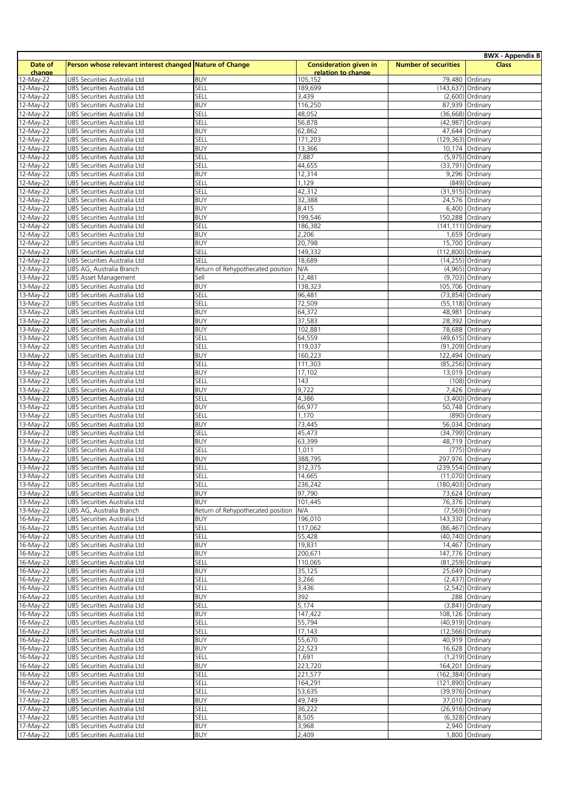|                         |                                                              |                                   |                               |                             | <b>BWX - Appendix B</b>            |
|-------------------------|--------------------------------------------------------------|-----------------------------------|-------------------------------|-----------------------------|------------------------------------|
| Date of                 | Person whose relevant interest changed Nature of Change      |                                   | <b>Consideration given in</b> | <b>Number of securities</b> | <b>Class</b>                       |
| change                  |                                                              |                                   | relation to change            |                             |                                    |
| 12-May-22               | UBS Securities Australia Ltd                                 | <b>BUY</b>                        | 105,152                       |                             | 79,480 Ordinary                    |
| 12-May-22               | UBS Securities Australia Ltd                                 | SELL                              | 189,699                       | (143,637) Ordinary          |                                    |
| 12-May-22               | UBS Securities Australia Ltd                                 | SELL                              | 3,439                         |                             | (2,600) Ordinary                   |
| 12-May-22               | UBS Securities Australia Ltd                                 | <b>BUY</b>                        | 116,250                       |                             | 87,939 Ordinary                    |
| 12-May-22               | UBS Securities Australia Ltd                                 | SELL                              | 48,052                        |                             | (36,668) Ordinary                  |
| 12-May-22               | UBS Securities Australia Ltd                                 | SELL                              | 56,878                        |                             | (42,987) Ordinary                  |
| 12-May-22               | UBS Securities Australia Ltd                                 | <b>BUY</b>                        | 62,862                        |                             | 47,644 Ordinary                    |
| 12-May-22               | UBS Securities Australia Ltd                                 | SELL                              | 171,203                       | (129,363) Ordinary          |                                    |
| 12-May-22               | UBS Securities Australia Ltd                                 | <b>BUY</b>                        | 13,366                        |                             | 10,174 Ordinary                    |
| 12-May-22               | UBS Securities Australia Ltd                                 | SELL                              | 7,887                         |                             | (5,975) Ordinary                   |
| $\overline{12}$ -May-22 | UBS Securities Australia Ltd                                 | SELL                              | 44,655                        |                             | (33,791) Ordinary                  |
| $12-May-22$             | UBS Securities Australia Ltd                                 | <b>BUY</b>                        | 12,314                        |                             | 9,296 Ordinary                     |
| $\overline{12}$ -May-22 | UBS Securities Australia Ltd                                 | SELL                              | 1,129                         |                             | (849) Ordinary                     |
| 12-May-22               | UBS Securities Australia Ltd                                 | SELL                              | 42,312                        |                             | (31,915) Ordinary                  |
| 12-May-22               | UBS Securities Australia Ltd                                 | <b>BUY</b>                        | 32,388                        |                             | 24,576 Ordinary                    |
| 12-May-22               | UBS Securities Australia Ltd                                 | <b>BUY</b>                        | 8,415                         |                             | 6,400 Ordinary                     |
| $12-May-22$             | UBS Securities Australia Ltd                                 | <b>BUY</b>                        | 199,546                       | 150,288 Ordinary            |                                    |
| 12-May-22               | <b>UBS Securities Australia Ltd</b>                          | SELL                              | 186,382                       | (141,111) Ordinary          |                                    |
| 12-May-22               | UBS Securities Australia Ltd                                 | <b>BUY</b>                        | 2,206                         |                             | 1,659 Ordinary                     |
| $12-May-22$             | UBS Securities Australia Ltd                                 | <b>BUY</b>                        | 20,798                        |                             | 15,700 Ordinary                    |
| 12-May-22               | UBS Securities Australia Ltd                                 | SELL                              | 149,332                       | (112,800) Ordinary          |                                    |
| 12-May-22               | UBS Securities Australia Ltd                                 | SELL                              | 18,689                        |                             | (14,255) Ordinary                  |
| $12-May-22$             | UBS AG, Australia Branch                                     | Return of Rehypothecated position | N/A                           |                             | (4,965) Ordinary                   |
| 13-May-22               | <b>UBS Asset Management</b>                                  | Sell                              | 12,481                        |                             | (9,703) Ordinary                   |
| $13-May-22$             | <b>UBS Securities Australia Ltd</b>                          | <b>BUY</b>                        | 138,323                       | 105,706 Ordinary            |                                    |
| 13-May-22               | UBS Securities Australia Ltd                                 | SELL                              | 96,481                        |                             | (73,854) Ordinary                  |
| $13-May-22$             | UBS Securities Australia Ltd                                 | SELL                              | 72,509                        |                             | (55,118) Ordinary                  |
| 13-May-22               | UBS Securities Australia Ltd                                 | <b>BUY</b>                        | 64,372                        |                             | 48,981 Ordinary                    |
| 13-May-22               | UBS Securities Australia Ltd                                 | <b>BUY</b>                        | 37,583                        |                             | 28,392 Ordinary                    |
| 13-May-22               | UBS Securities Australia Ltd                                 | <b>BUY</b>                        | 102,881                       |                             | 78,688 Ordinary                    |
| $13-May-22$             | UBS Securities Australia Ltd                                 | SELL                              | 64,559                        |                             | (49,615) Ordinary                  |
| 13-May-22               | UBS Securities Australia Ltd                                 | SELL                              | 119,037                       |                             | (91,209) Ordinary                  |
| 13-May-22               | UBS Securities Australia Ltd                                 | <b>BUY</b>                        | 160,223                       | 122,494 Ordinary            |                                    |
| 13-May-22               | UBS Securities Australia Ltd                                 | SELL                              | 111,303                       |                             | (85,256) Ordinary                  |
| 13-May-22               | UBS Securities Australia Ltd                                 | <b>BUY</b>                        | 17,102                        |                             | 13,019 Ordinary                    |
| 13-May-22               | UBS Securities Australia Ltd                                 | SELL                              | 143                           |                             | (108) Ordinary                     |
| 13-May-22               | UBS Securities Australia Ltd                                 | <b>BUY</b>                        | 9,722                         |                             | 7,426 Ordinary                     |
| $13-May-22$             | UBS Securities Australia Ltd                                 | SELL                              | 4,386                         |                             | (3,400) Ordinary                   |
| 13-May-22               | UBS Securities Australia Ltd                                 | <b>BUY</b>                        | 66,977                        |                             | 50,748 Ordinary                    |
| 13-May-22               | UBS Securities Australia Ltd                                 | SELL                              | 1,170                         |                             | (890) Ordinary                     |
| 13-May-22               | UBS Securities Australia Ltd                                 | <b>BUY</b>                        | 73,445                        |                             | 56,034 Ordinary                    |
| 13-May-22               | UBS Securities Australia Ltd                                 | SELL                              | 45,473                        |                             | (34,799) Ordinary                  |
| $13-May-22$             | UBS Securities Australia Ltd                                 | <b>BUY</b>                        | 63,399                        |                             | 48,719 Ordinary                    |
| 13-May-22               | UBS Securities Australia Ltd                                 | SELL                              | 1,011                         |                             | (775) Ordinary                     |
| 13-May-22               | UBS Securities Australia Ltd                                 | <b>BUY</b>                        | 388,795                       | 297,976 Ordinary            |                                    |
| 13-May-22               | UBS Securities Australia Ltd                                 | SELL                              | 312,375                       | (239,554) Ordinary          |                                    |
| 13-May-22               |                                                              | SELL                              | 14,665                        |                             |                                    |
| 13-May-22               | UBS Securities Australia Ltd<br>UBS Securities Australia Ltd | SELL                              | 236,242                       | (180,403) Ordinary          | $(11,0/0)$ Ordinary                |
| 13-May-22               | UBS Securities Australia Ltd                                 | <b>BUY</b>                        | 97,790                        |                             | 73,624 Ordinary                    |
| 13-May-22               | UBS Securities Australia Ltd                                 | <b>BUY</b>                        | 101,445                       |                             | 76,376 Ordinary                    |
| 13-May-22               | UBS AG, Australia Branch                                     | Return of Rehypothecated position | <b>N/A</b>                    |                             | (7,569) Ordinary                   |
|                         |                                                              | <b>BUY</b>                        | 196,010                       |                             |                                    |
| 16-May-22<br>16-May-22  | UBS Securities Australia Ltd<br>UBS Securities Australia Ltd | SELL                              | 117,062                       | 143,330 Ordinary            | (86,467) Ordinary                  |
| 16-May-22               | UBS Securities Australia Ltd                                 | SELL                              | 55,428                        |                             | (40,740) Ordinary                  |
| 16-May-22               | UBS Securities Australia Ltd                                 | <b>BUY</b>                        | 19,831                        |                             | 14,467 Ordinary                    |
| 16-May-22               |                                                              | <b>BUY</b>                        | 200,671                       | 147,776 Ordinary            |                                    |
|                         | UBS Securities Australia Ltd<br>UBS Securities Australia Ltd | SELL                              |                               |                             |                                    |
| 16-May-22               |                                                              | <b>BUY</b>                        | 110,065                       |                             | (81,259) Ordinary                  |
| 16-May-22<br>16-May-22  | UBS Securities Australia Ltd                                 |                                   | 35,125                        |                             | 25,649 Ordinary                    |
|                         | UBS Securities Australia Ltd                                 | SELL                              | 3,266                         |                             | $(2,437)$ Ordinary                 |
| 16-May-22<br>16-May-22  | UBS Securities Australia Ltd                                 | SELL<br><b>BUY</b>                | 3,436                         |                             | $(2,542)$ Ordinary                 |
|                         | UBS Securities Australia Ltd                                 | SELL                              | 392<br>5,174                  |                             | 288 Ordinary<br>$(3,841)$ Ordinary |
| 16-May-22               | UBS Securities Australia Ltd                                 |                                   |                               |                             |                                    |
| 16-May-22               | UBS Securities Australia Ltd                                 | <b>BUY</b>                        | 147,422                       | 108,126 Ordinary            |                                    |
| $16-May-22$             | UBS Securities Australia Ltd                                 | SELL                              | 55,794                        |                             | (40,919) Ordinary                  |
| 16-May-22               | UBS Securities Australia Ltd                                 | SELL                              | 17,143                        |                             | (12,566) Ordinary                  |
| 16-May-22               | UBS Securities Australia Ltd                                 | <b>BUY</b>                        | 55,670                        |                             | 40,919 Ordinary                    |
| 16-May-22               | UBS Securities Australia Ltd                                 | <b>BUY</b>                        | 22,523                        |                             | 16,628 Ordinary                    |
| 16-May-22               | UBS Securities Australia Ltd                                 | SELL                              | 1,691                         |                             | (1,219) Ordinary                   |
| 16-May-22               | UBS Securities Australia Ltd                                 | <b>BUY</b>                        | 223,720                       | 164,201 Ordinary            |                                    |
| 16-May-22               | UBS Securities Australia Ltd                                 | SELL                              | 221,577                       | (162,384) Ordinary          |                                    |
| 16-May-22               | UBS Securities Australia Ltd                                 | SELL                              | 164,291                       | (121,890) Ordinary          |                                    |
| 16-May-22               | UBS Securities Australia Ltd                                 | SELL                              | 53,635                        |                             | (39,976) Ordinary                  |
| 17-May-22               | UBS Securities Australia Ltd                                 | <b>BUY</b>                        | 49,749                        |                             | 37,010 Ordinary                    |
| 17-May-22               | UBS Securities Australia Ltd                                 | SELL                              | 36,222                        |                             | (26,916) Ordinary                  |
| 17-May-22               | UBS Securities Australia Ltd                                 | SELL                              | 8,505                         |                             | (6,328) Ordinary                   |
| $17-May-22$             | UBS Securities Australia Ltd                                 | <b>BUY</b>                        | 3,968                         |                             | 2,940 Ordinary                     |
| 17-May-22               | UBS Securities Australia Ltd                                 | <b>BUY</b>                        | 2,409                         |                             | 1,800 Ordinary                     |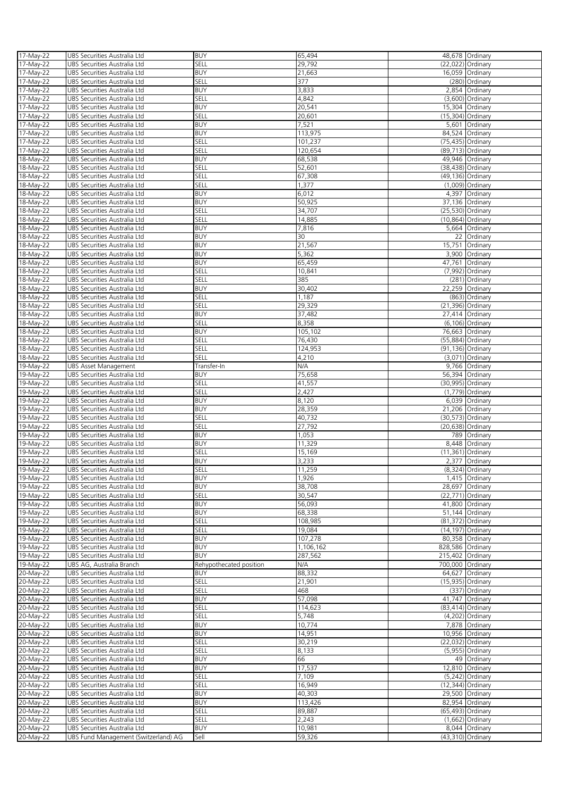| 17-May-22              | UBS Securities Australia Ltd                                         | <b>BUY</b>              | 65,494           | 48,678 Ordinary                     |
|------------------------|----------------------------------------------------------------------|-------------------------|------------------|-------------------------------------|
| 17-May-22              | UBS Securities Australia Ltd                                         | SELL                    | 29,792           | (22,022) Ordinary                   |
| 17-May-22              | UBS Securities Australia Ltd                                         | <b>BUY</b>              | 21,663           | 16,059 Ordinary                     |
| 17-May-22              |                                                                      | SELL                    | 377              |                                     |
|                        | UBS Securities Australia Ltd                                         |                         |                  | (280) Ordinary                      |
| 17-May-22              | UBS Securities Australia Ltd                                         | <b>BUY</b>              | 3,833            | 2,854 Ordinary                      |
| 17-May-22              | UBS Securities Australia Ltd                                         | SELL                    | 4,842            | (3,600) Ordinary                    |
| 17-May-22              | UBS Securities Australia Ltd                                         | <b>BUY</b>              | 20,541           | 15,304 Ordinary                     |
| 17-May-22              | UBS Securities Australia Ltd                                         | SELL                    | 20,601           | (15,304) Ordinary                   |
| 17-May-22              | UBS Securities Australia Ltd                                         | <b>BUY</b>              | 7,521            | 5,601 Ordinary                      |
| 17-May-22              | UBS Securities Australia Ltd                                         | <b>BUY</b>              | 113,975          | 84,524 Ordinary                     |
| 17-May-22              | UBS Securities Australia Ltd                                         | SELL                    | 101,237          | (75,435) Ordinary                   |
| 17-May-22              | UBS Securities Australia Ltd                                         | SELL                    | 120,654          | (89,713) Ordinary                   |
| 18-May-22              | UBS Securities Australia Ltd                                         | <b>BUY</b>              | 68,538           | 49,946 Ordinary                     |
| 18-May-22              | UBS Securities Australia Ltd                                         | SELL                    | 52,601           | (38,438) Ordinary                   |
| 18-May-22              | UBS Securities Australia Ltd                                         | SELL                    | 67,308           | (49,136) Ordinary                   |
| 18-May-22              | UBS Securities Australia Ltd                                         | SELL                    | 1,377            | (1,009) Ordinary                    |
| 18-May-22              | UBS Securities Australia Ltd                                         | <b>BUY</b>              | 6,012            | 4,397 Ordinary                      |
| 18-May-22              | UBS Securities Australia Ltd                                         | <b>BUY</b>              | 50,925           | 37,136 Ordinary                     |
| 18-May-22              | UBS Securities Australia Ltd                                         | SELL                    | 34,707           | (25,530) Ordinary                   |
| 18-May-22              | UBS Securities Australia Ltd                                         | SELL                    | 14,885           | (10,864) Ordinary                   |
| 18-May-22              | UBS Securities Australia Ltd                                         | <b>BUY</b>              | 7,816            | 5,664 Ordinary                      |
|                        |                                                                      |                         |                  |                                     |
| 18-May-22              | UBS Securities Australia Ltd                                         | <b>BUY</b>              | 30               | 22 Ordinary                         |
| 18-May-22              | UBS Securities Australia Ltd                                         | <b>BUY</b>              | 21,567           | 15,751 Ordinary                     |
| 18-May-22              | UBS Securities Australia Ltd                                         | <b>BUY</b>              | 5,362            | 3,900 Ordinary                      |
| 18-May-22              | UBS Securities Australia Ltd                                         | <b>BUY</b>              | 65,459           | 47,761 Ordinary                     |
| 18-May-22              | UBS Securities Australia Ltd                                         | SELL                    | 10,841           | (7,992) Ordinary                    |
| 18-May-22              | UBS Securities Australia Ltd                                         | SELL                    | 385              | (281) Ordinary                      |
| 18-May-22              | UBS Securities Australia Ltd                                         | <b>BUY</b>              | 30,402           | 22,259 Ordinary                     |
| 18-May-22              | UBS Securities Australia Ltd                                         | SELL                    | 1,187            | (863) Ordinary                      |
| 18-May-22              | UBS Securities Australia Ltd                                         | SELL                    | 29,329           | (21,396) Ordinary                   |
| 18-May-22              | UBS Securities Australia Ltd                                         | <b>BUY</b>              | 37,482           | 27,414 Ordinary                     |
| 18-May-22              | UBS Securities Australia Ltd                                         | SELL                    | 8,358            | (6,106) Ordinary                    |
| 18-May-22              | UBS Securities Australia Ltd                                         | <b>BUY</b>              | 105,102          | 76,663 Ordinary                     |
| 18-May-22              | UBS Securities Australia Ltd                                         | SELL                    | 76,430           | (55,884) Ordinary                   |
| 18-May-22              | UBS Securities Australia Ltd                                         | SELL                    | 124,953          | (91,136) Ordinary                   |
| 18-May-22              | UBS Securities Australia Ltd                                         | SELL                    | 4,210            | (3,071) Ordinary                    |
| 19-May-22              | UBS Asset Management                                                 | Transfer-In             | N/A              | 9,766 Ordinary                      |
| 19-May-22              | UBS Securities Australia Ltd                                         | <b>BUY</b>              | 75,658           | 56,394 Ordinary                     |
| 19-May-22              | UBS Securities Australia Ltd                                         | SELL                    | 41,557           | (30,995) Ordinary                   |
| 19-May-22              | UBS Securities Australia Ltd                                         | SELL                    | 2,427            | (1,779) Ordinary                    |
| 19-May-22              | UBS Securities Australia Ltd                                         | <b>BUY</b>              | 8,120            | 6,039 Ordinary                      |
| 19-May-22              | UBS Securities Australia Ltd                                         | <b>BUY</b>              | 28,359           | 21,206 Ordinary                     |
| 19-May-22              | UBS Securities Australia Ltd                                         | SELL                    | 40,732           | $(30,573)$ Ordinary                 |
| 19-May-22              | UBS Securities Australia Ltd                                         | SELL                    | 27,792           | (20,638) Ordinary                   |
| 19-May-22              | UBS Securities Australia Ltd                                         | <b>BUY</b>              | 1,053            | 789 Ordinary                        |
| 19-May-22              | UBS Securities Australia Ltd                                         | <b>BUY</b>              | 11,329           | 8,448 Ordinary                      |
| 19-May-22              | UBS Securities Australia Ltd                                         | SELL                    | 15,169           | (11,361) Ordinary                   |
| 19-May-22              | UBS Securities Australia Ltd                                         | <b>BUY</b>              | 3,233            | 2,377 Ordinary                      |
| 19-May-22              |                                                                      | SELL                    | 11,259           |                                     |
|                        | UBS Securities Australia Ltd                                         |                         |                  | (8,324) Ordinary                    |
| 19-May-22              | UBS Securities Australia Ltd                                         | <b>BUY</b>              | 1,926            | 1,415 Ordinary                      |
| 19-May-22              | UBS Securities Australia Ltd                                         | <b>BUY</b>              | 38,708           | 28,697 Ordinary                     |
| 19-May-22              | UBS Securities Australia Ltd                                         | SELL                    | 30,547           | (22,771) Ordinary                   |
| 19-May-22              | UBS Securities Australia Ltd                                         | <b>BUY</b>              | 56,093           | 41,800 Ordinary                     |
| 19-May-22              | UBS Securities Australia Ltd                                         | <b>BUY</b>              | 68,338           | 51,144 Ordinary                     |
| 19-May-22              | UBS Securities Australia Ltd                                         | SELL                    | 108,985          | (81,372) Ordinary                   |
| 19-May-22              | UBS Securities Australia Ltd                                         | SELL                    | 19,084           | (14,197) Ordinary                   |
| 19-May-22              | UBS Securities Australia Ltd                                         | <b>BUY</b>              | 107,278          | 80,358 Ordinary                     |
| 19-May-22              | UBS Securities Australia Ltd                                         | <b>BUY</b>              | 1,106,162        | 828,586 Ordinary                    |
| 19-May-22              | UBS Securities Australia Ltd                                         | <b>BUY</b>              | 287,562          | 215,402 Ordinary                    |
| 19-May-22              | UBS AG, Australia Branch                                             | Rehypothecated position | N/A              | 700,000 Ordinary                    |
| 20-May-22              | UBS Securities Australia Ltd                                         | <b>BUY</b>              | 88,332           | 64,627<br>Ordinary                  |
| 20-May-22              | UBS Securities Australia Ltd                                         | SELL                    | 21,901           | (15,935) Ordinary                   |
| 20-May-22              | UBS Securities Australia Ltd                                         | SELL                    | 468              | (337) Ordinary                      |
| 20-May-22              | UBS Securities Australia Ltd                                         | <b>BUY</b>              | 57,098           | 41,747 Ordinary                     |
| 20-May-22              | UBS Securities Australia Ltd                                         | SELL                    | 114,623          | (83,414) Ordinary                   |
| 20-May-22              | UBS Securities Australia Ltd                                         | SELL                    | 5,748            | (4,202) Ordinary                    |
| 20-May-22              | UBS Securities Australia Ltd                                         | <b>BUY</b>              | 10,774           | 7,878 Ordinary                      |
| 20-May-22              | UBS Securities Australia Ltd                                         | <b>BUY</b>              | 14,951           | 10,956 Ordinary                     |
| 20-May-22              | UBS Securities Australia Ltd                                         | SELL                    | 30,219           | (22,032) Ordinary                   |
| 20-May-22              | UBS Securities Australia Ltd                                         | SELL                    | 8,133            | (5,955) Ordinary                    |
| $20 - May-22$          | UBS Securities Australia Ltd                                         | <b>BUY</b>              | 66               | 49 Ordinary                         |
| 20-May-22              | UBS Securities Australia Ltd                                         | <b>BUY</b>              | 17,537           | 12,810 Ordinary                     |
| 20-May-22              | UBS Securities Australia Ltd                                         | SELL                    | 7,109            | $(5,242)$ Ordinary                  |
| 20-May-22              | UBS Securities Australia Ltd                                         | SELL                    | 16,949           | (12,344) Ordinary                   |
| 20-May-22              | UBS Securities Australia Ltd                                         | <b>BUY</b>              | 40,303           | 29,500 Ordinary                     |
| 20-May-22              | UBS Securities Australia Ltd                                         | <b>BUY</b>              | 113,426          | 82,954 Ordinary                     |
| $20-May-22$            |                                                                      |                         |                  |                                     |
|                        |                                                                      |                         |                  |                                     |
|                        | UBS Securities Australia Ltd                                         | SELL                    | 89,887           | (65,493) Ordinary                   |
| 20-May-22              | UBS Securities Australia Ltd                                         | SELL                    | 2,243            | $(1,662)$ Ordinary                  |
| 20-May-22<br>20-May-22 | UBS Securities Australia Ltd<br>UBS Fund Management (Switzerland) AG | <b>BUY</b><br>Sell      | 10,981<br>59,326 | 8,044 Ordinary<br>(43,310) Ordinary |